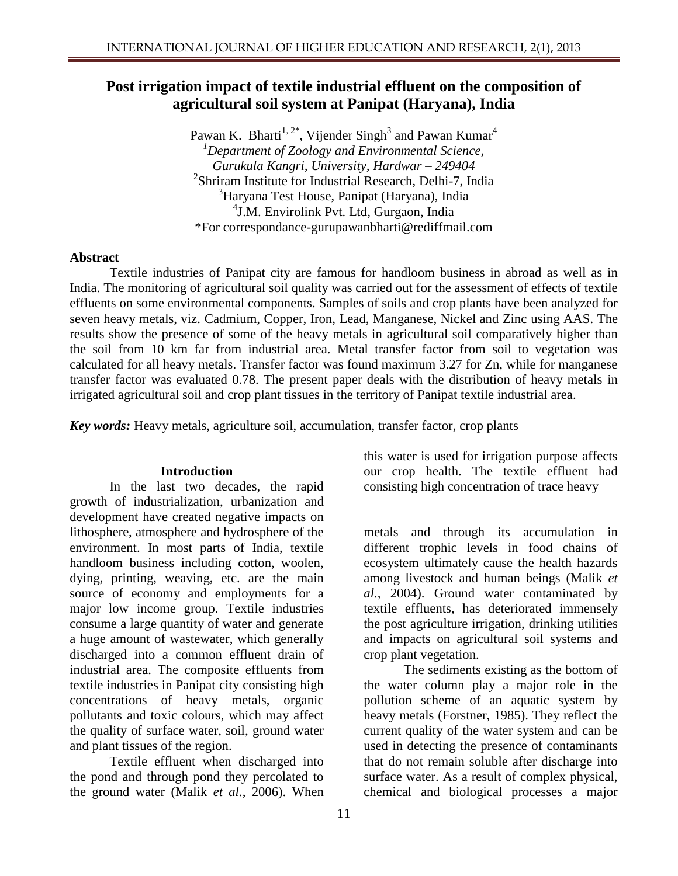# **Post irrigation impact of textile industrial effluent on the composition of agricultural soil system at Panipat (Haryana), India**

Pawan K. Bharti<sup>1, 2\*</sup>, Vijender Singh<sup>3</sup> and Pawan Kumar<sup>4</sup> *<sup>1</sup>Department of Zoology and Environmental Science, Gurukula Kangri, University, Hardwar – 249404* 2 Shriram Institute for Industrial Research, Delhi-7, India <sup>3</sup>Haryana Test House, Panipat (Haryana), India 4 J.M. Envirolink Pvt. Ltd, Gurgaon, India \*For correspondance-gurupawanbharti@rediffmail.com

#### **Abstract**

Textile industries of Panipat city are famous for handloom business in abroad as well as in India. The monitoring of agricultural soil quality was carried out for the assessment of effects of textile effluents on some environmental components. Samples of soils and crop plants have been analyzed for seven heavy metals, viz. Cadmium, Copper, Iron, Lead, Manganese, Nickel and Zinc using AAS. The results show the presence of some of the heavy metals in agricultural soil comparatively higher than the soil from 10 km far from industrial area. Metal transfer factor from soil to vegetation was calculated for all heavy metals. Transfer factor was found maximum 3.27 for Zn, while for manganese transfer factor was evaluated 0.78. The present paper deals with the distribution of heavy metals in irrigated agricultural soil and crop plant tissues in the territory of Panipat textile industrial area.

*Key words:* Heavy metals, agriculture soil, accumulation, transfer factor, crop plants

### **Introduction**

In the last two decades, the rapid growth of industrialization, urbanization and development have created negative impacts on lithosphere, atmosphere and hydrosphere of the environment. In most parts of India, textile handloom business including cotton, woolen, dying, printing, weaving, etc. are the main source of economy and employments for a major low income group. Textile industries consume a large quantity of water and generate a huge amount of wastewater, which generally discharged into a common effluent drain of industrial area. The composite effluents from textile industries in Panipat city consisting high concentrations of heavy metals, organic pollutants and toxic colours, which may affect the quality of surface water, soil, ground water and plant tissues of the region.

Textile effluent when discharged into the pond and through pond they percolated to the ground water (Malik *et al.*, 2006). When this water is used for irrigation purpose affects our crop health. The textile effluent had consisting high concentration of trace heavy

metals and through its accumulation in different trophic levels in food chains of ecosystem ultimately cause the health hazards among livestock and human beings (Malik *et al.,* 2004). Ground water contaminated by textile effluents, has deteriorated immensely the post agriculture irrigation, drinking utilities and impacts on agricultural soil systems and crop plant vegetation.

The sediments existing as the bottom of the water column play a major role in the pollution scheme of an aquatic system by heavy metals (Forstner, 1985). They reflect the current quality of the water system and can be used in detecting the presence of contaminants that do not remain soluble after discharge into surface water. As a result of complex physical, chemical and biological processes a major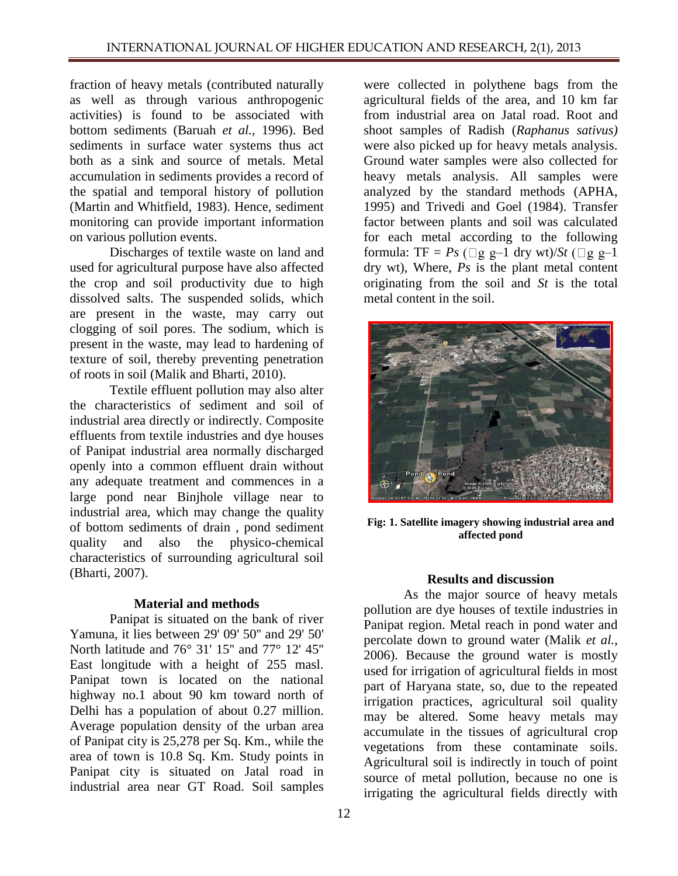fraction of heavy metals (contributed naturally as well as through various anthropogenic activities) is found to be associated with bottom sediments (Baruah *et al.,* 1996). Bed sediments in surface water systems thus act both as a sink and source of metals. Metal accumulation in sediments provides a record of the spatial and temporal history of pollution (Martin and Whitfield, 1983). Hence, sediment monitoring can provide important information on various pollution events.

Discharges of textile waste on land and used for agricultural purpose have also affected the crop and soil productivity due to high dissolved salts. The suspended solids, which are present in the waste, may carry out clogging of soil pores. The sodium, which is present in the waste, may lead to hardening of texture of soil, thereby preventing penetration of roots in soil (Malik and Bharti, 2010).

Textile effluent pollution may also alter the characteristics of sediment and soil of industrial area directly or indirectly. Composite effluents from textile industries and dye houses of Panipat industrial area normally discharged openly into a common effluent drain without any adequate treatment and commences in a large pond near Binjhole village near to industrial area, which may change the quality of bottom sediments of drain , pond sediment quality and also the physico-chemical characteristics of surrounding agricultural soil (Bharti, 2007).

### **Material and methods**

Panipat is situated on the bank of river Yamuna, it lies between 29' 09' 50'' and 29' 50' North latitude and 76° 31' 15'' and 77° 12' 45'' East longitude with a height of 255 masl. Panipat town is located on the national highway no.1 about 90 km toward north of Delhi has a population of about 0.27 million. Average population density of the urban area of Panipat city is 25,278 per Sq. Km., while the area of town is 10.8 Sq. Km. Study points in Panipat city is situated on Jatal road in industrial area near GT Road. Soil samples

were collected in polythene bags from the agricultural fields of the area, and 10 km far from industrial area on Jatal road. Root and shoot samples of Radish (*Raphanus sativus)* were also picked up for heavy metals analysis. Ground water samples were also collected for heavy metals analysis. All samples were analyzed by the standard methods (APHA, 1995) and Trivedi and Goel (1984). Transfer factor between plants and soil was calculated for each metal according to the following formula: TF =  $Ps$  ( $\Box$ g g-1 dry wt)/ $St$  ( $\Box$ g g-1 dry wt), Where, *Ps* is the plant metal content originating from the soil and *St* is the total metal content in the soil.



**Fig: 1. Satellite imagery showing industrial area and affected pond**

### **Results and discussion**

As the major source of heavy metals pollution are dye houses of textile industries in Panipat region. Metal reach in pond water and percolate down to ground water (Malik *et al.*, 2006). Because the ground water is mostly used for irrigation of agricultural fields in most part of Haryana state, so, due to the repeated irrigation practices, agricultural soil quality may be altered. Some heavy metals may accumulate in the tissues of agricultural crop vegetations from these contaminate soils. Agricultural soil is indirectly in touch of point source of metal pollution, because no one is irrigating the agricultural fields directly with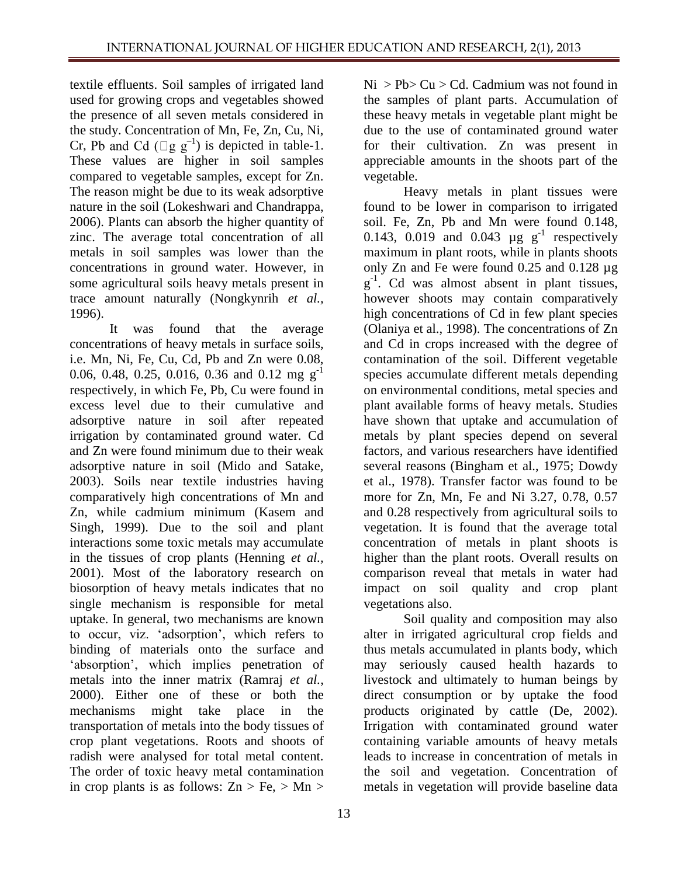textile effluents. Soil samples of irrigated land used for growing crops and vegetables showed the presence of all seven metals considered in the study. Concentration of Mn, Fe, Zn, Cu, Ni, Cr, Pb and Cd ( $\Box$ g g<sup>-1</sup>) is depicted in table-1. These values are higher in soil samples compared to vegetable samples, except for Zn. The reason might be due to its weak adsorptive nature in the soil (Lokeshwari and Chandrappa, 2006). Plants can absorb the higher quantity of zinc. The average total concentration of all metals in soil samples was lower than the concentrations in ground water. However, in some agricultural soils heavy metals present in trace amount naturally (Nongkynrih *et al.,*  1996).

It was found that the average concentrations of heavy metals in surface soils, i.e. Mn, Ni, Fe, Cu, Cd, Pb and Zn were 0.08, 0.06, 0.48, 0.25, 0.016, 0.36 and 0.12 mg  $g^{-1}$ respectively, in which Fe, Pb, Cu were found in excess level due to their cumulative and adsorptive nature in soil after repeated irrigation by contaminated ground water. Cd and Zn were found minimum due to their weak adsorptive nature in soil (Mido and Satake, 2003). Soils near textile industries having comparatively high concentrations of Mn and Zn, while cadmium minimum (Kasem and Singh, 1999). Due to the soil and plant interactions some toxic metals may accumulate in the tissues of crop plants (Henning *et al.,*  2001). Most of the laboratory research on biosorption of heavy metals indicates that no single mechanism is responsible for metal uptake. In general, two mechanisms are known to occur, viz. 'adsorption', which refers to binding of materials onto the surface and 'absorption', which implies penetration of metals into the inner matrix (Ramraj *et al.*, 2000). Either one of these or both the mechanisms might take place in the transportation of metals into the body tissues of crop plant vegetations. Roots and shoots of radish were analysed for total metal content. The order of toxic heavy metal contamination in crop plants is as follows:  $Zn > Fe$ ,  $> Mn$   $Ni > Pb > Cu > Cd$ . Cadmium was not found in the samples of plant parts. Accumulation of these heavy metals in vegetable plant might be due to the use of contaminated ground water for their cultivation. Zn was present in appreciable amounts in the shoots part of the vegetable.

Heavy metals in plant tissues were found to be lower in comparison to irrigated soil. Fe, Zn, Pb and Mn were found 0.148, 0.143, 0.019 and 0.043  $\mu$ g g<sup>-1</sup> respectively maximum in plant roots, while in plants shoots only Zn and Fe were found 0.25 and 0.128 µg  $g^{-1}$ . Cd was almost absent in plant tissues, however shoots may contain comparatively high concentrations of Cd in few plant species (Olaniya et al., 1998). The concentrations of Zn and Cd in crops increased with the degree of contamination of the soil. Different vegetable species accumulate different metals depending on environmental conditions, metal species and plant available forms of heavy metals. Studies have shown that uptake and accumulation of metals by plant species depend on several factors, and various researchers have identified several reasons (Bingham et al., 1975; Dowdy et al., 1978). Transfer factor was found to be more for Zn, Mn, Fe and Ni 3.27, 0.78, 0.57 and 0.28 respectively from agricultural soils to vegetation. It is found that the average total concentration of metals in plant shoots is higher than the plant roots. Overall results on comparison reveal that metals in water had impact on soil quality and crop plant vegetations also.

Soil quality and composition may also alter in irrigated agricultural crop fields and thus metals accumulated in plants body, which may seriously caused health hazards to livestock and ultimately to human beings by direct consumption or by uptake the food products originated by cattle (De, 2002). Irrigation with contaminated ground water containing variable amounts of heavy metals leads to increase in concentration of metals in the soil and vegetation. Concentration of metals in vegetation will provide baseline data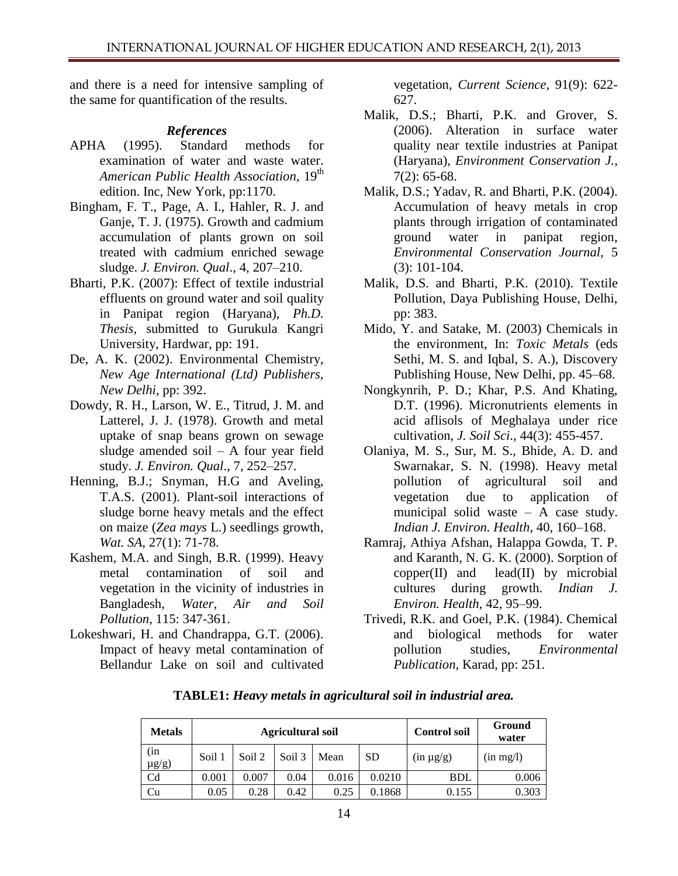and there is a need for intensive sampling of the same for quantification of the results.

## *References*

- APHA (1995). Standard methods for examination of water and waste water. *American Public Health Association,* 19th edition. Inc, New York, pp:1170.
- Bingham, F. T., Page, A. I., Hahler, R. J. and Ganje, T. J. (1975). Growth and cadmium accumulation of plants grown on soil treated with cadmium enriched sewage sludge. *J. Environ. Qual*., 4, 207–210.
- Bharti, P.K. (2007): Effect of textile industrial effluents on ground water and soil quality in Panipat region (Haryana), *Ph.D. Thesis*, submitted to Gurukula Kangri University, Hardwar, pp: 191.
- De, A. K. (2002). Environmental Chemistry, *New Age International (Ltd) Publishers, New Delhi*, pp: 392.
- Dowdy, R. H., Larson, W. E., Titrud, J. M. and Latterel, J. J. (1978). Growth and metal uptake of snap beans grown on sewage sludge amended soil – A four year field study. *J. Environ. Qual*., 7, 252–257.
- Henning, B.J.; Snyman, H.G and Aveling, T.A.S. (2001). Plant-soil interactions of sludge borne heavy metals and the effect on maize (*Zea mays* L.) seedlings growth, *Wat. SA*, 27(1): 71-78.
- Kashem, M.A. and Singh, B.R. (1999). Heavy metal contamination of soil and vegetation in the vicinity of industries in Bangladesh, *Water, Air and Soil Pollution*, 115: 347-361.
- Lokeshwari, H. and Chandrappa, G.T. (2006). Impact of heavy metal contamination of Bellandur Lake on soil and cultivated

vegetation, *Current Science*, 91(9): 622- 627.

- Malik, D.S.; Bharti, P.K. and Grover, S. (2006). Alteration in surface water quality near textile industries at Panipat (Haryana), *Environment Conservation J.,* 7(2): 65-68.
- Malik, D.S.; Yadav, R. and Bharti, P.K. (2004). Accumulation of heavy metals in crop plants through irrigation of contaminated ground water in panipat region, *Environmental Conservation Journal,* 5 (3): 101-104.
- Malik, D.S. and Bharti, P.K. (2010). Textile Pollution, Daya Publishing House, Delhi, pp: 383.
- Mido, Y. and Satake, M. (2003) Chemicals in the environment, In: *Toxic Metals* (eds Sethi, M. S. and Iqbal, S. A.), Discovery Publishing House, New Delhi, pp. 45–68.
- Nongkynrih, P. D.; Khar, P.S. And Khating, D.T. (1996). Micronutrients elements in acid aflisols of Meghalaya under rice cultivation, *J. Soil Sci*., 44(3): 455-457.
- Olaniya, M. S., Sur, M. S., Bhide, A. D. and Swarnakar, S. N. (1998). Heavy metal pollution of agricultural soil and vegetation due to application of municipal solid waste – A case study. *Indian J. Environ. Health*, 40, 160–168.
- Ramraj, Athiya Afshan, Halappa Gowda, T. P. and Karanth, N. G. K. (2000). Sorption of  $copper(II)$  and  $lead(II)$  by microbial cultures during growth. *Indian J. Environ. Health*, 42, 95–99.
- Trivedi, R.K. and Goel, P.K. (1984). Chemical and biological methods for water pollution studies, *Environmental Publication*, Karad, pp: 251.

| <b>Metals</b>     |        |        | <b>Agricultural soil</b> | <b>Control soil</b> | Ground<br>water |                |                |  |
|-------------------|--------|--------|--------------------------|---------------------|-----------------|----------------|----------------|--|
| (in<br>$\mu$ g/g) | Soil 1 | Soil 2 | Soil 3                   | Mean                | <b>SD</b>       | $(in \mu g/g)$ | $(in \, mg/l)$ |  |
| Cd                | 0.001  | 0.007  | 0.04                     | 0.016               | 0.0210          | <b>BDL</b>     | 0.006          |  |
| Cu                | 0.05   | 0.28   | 0.42                     | 0.25                | 0.1868          | 0.155          | 0.303          |  |

**TABLE1:** *Heavy metals in agricultural soil in industrial area.*